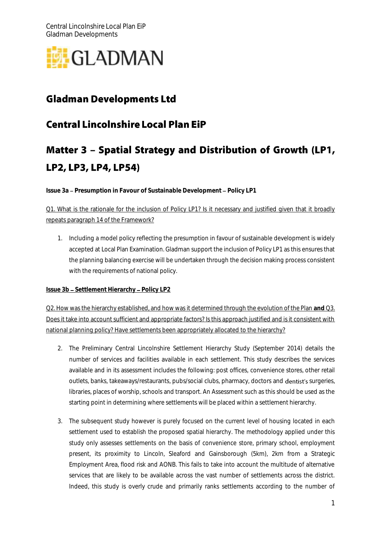

# **Gladman Developments Ltd**

# **Central Lincolnshire Local Plan EiP**

# Matter 3 - Spatial Strategy and Distribution of Growth (LP1, LP2, LP3, LP4, LP54)

**Issue 3a - Presumption in Favour of Sustainable Development - Policy LP1** 

Q1. What is the rationale for the inclusion of Policy LP1? Is it necessary and justified given that it broadly repeats paragraph 14 of the Framework?

1. Including a model policy reflecting the presumption in favour of sustainable development is widely accepted at Local Plan Examination. Gladman support the inclusion of Policy LP1 as this ensures that the planning balancing exercise will be undertaken through the decision making process consistent with the requirements of national policy.

#### **Issue 3b - Settlement Hierarchy - Policy LP2**

Q2. How was the hierarchy established, and how was it determined through the evolution of the Plan **and** Q3. Does it take into account sufficient and appropriate factors? Is this approach justified and is it consistent with national planning policy? Have settlements been appropriately allocated to the hierarchy?

- 2. The Preliminary Central Lincolnshire Settlement Hierarchy Study (September 2014) details the number of services and facilities available in each settlement. This study describes the services available and in its assessment includes the following: post offices, convenience stores, other retail outlets, banks, takeaways/restaurants, pubs/social clubs, pharmacy, doctors and dentist's surgeries, libraries, places of worship, schools and transport. An Assessment such as this should be used as the starting point in determining where settlements will be placed within a settlement hierarchy.
- 3. The subsequent study however is purely focused on the current level of housing located in each settlement used to establish the proposed spatial hierarchy. The methodology applied under this study only assesses settlements on the basis of convenience store, primary school, employment present, its proximity to Lincoln, Sleaford and Gainsborough (5km), 2km from a Strategic Employment Area, flood risk and AONB. This fails to take into account the multitude of alternative services that are likely to be available across the vast number of settlements across the district. Indeed, this study is overly crude and primarily ranks settlements according to the number of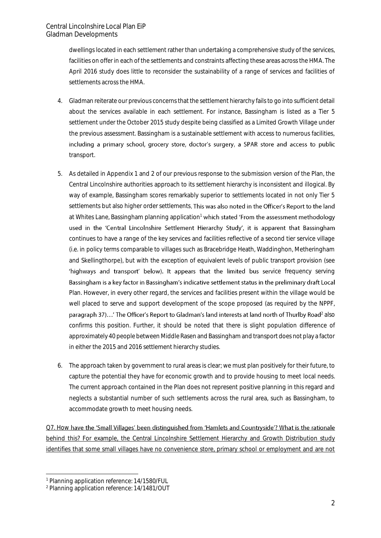dwellings located in each settlement rather than undertaking a comprehensive study of the services, facilities on offer in each of the settlements and constraints affecting these areas across the HMA. The April 2016 study does little to reconsider the sustainability of a range of services and facilities of settlements across the HMA.

- 4. Gladman reiterate our previous concerns that the settlement hierarchy fails to go into sufficient detail about the services available in each settlement. For instance, Bassingham is listed as a Tier 5 settlement under the October 2015 study despite being classified as a Limited Growth Village under the previous assessment. Bassingham is a sustainable settlement with access to numerous facilities, including a primary school, grocery store, doctor's surgery, a SPAR store and access to public transport.
- 5. As detailed in Appendix 1 and 2 of our previous response to the submission version of the Plan, the Central Lincolnshire authorities approach to its settlement hierarchy is inconsistent and illogical. By way of example, Bassingham scores remarkably superior to settlements located in not only Tier 5 settlements but also higher order settlements. This was also noted in the Officer's Report to the land at Whites Lane, Bassingham planning application<sup>1</sup> which stated 'From the assessment methodology used in the 'Central Lincolnshire Settlement Hierarchy Study', it is apparent that Bassingham continues to have a range of the key services and facilities reflective of a second tier service village (i.e. in policy terms comparable to villages such as Bracebridge Heath, Waddinghon, Metheringham and Skellingthorpe), but with the exception of equivalent levels of public transport provision (see 'highways and transport' below). It appears that the limited bus service frequency serving Bassingham is a key factor in Bassingham's indicative settlement status in the preliminary draft Local Plan. However, in every other regard, the services and facilities present within the village would be well placed to serve and support development of the scope proposed (as required by the NPPF, paragraph 37)...' The Officer's Report to Gladman's land interests at land north of Thurlby Road<sup>2</sup> also confirms this position. Further, it should be noted that there is slight population difference of approximately 40 people between Middle Rasen and Bassingham and transport does not play a factor in either the 2015 and 2016 settlement hierarchy studies.
- 6. The approach taken by government to rural areas is clear; we must plan positively for their future, to capture the potential they have for economic growth and to provide housing to meet local needs. The current approach contained in the Plan does not represent positive planning in this regard and neglects a substantial number of such settlements across the rural area, such as Bassingham, to accommodate growth to meet housing needs.

Q7. How have the 'Small Villages' been distinguished from 'Hamlets and Countryside'? What is the rationale behind this? For example, the Central Lincolnshire Settlement Hierarchy and Growth Distribution study identifies that some small villages have no convenience store, primary school or employment and are not

-

<sup>1</sup> Planning application reference: 14/1580/FUL

<sup>2</sup> Planning application reference: 14/1481/OUT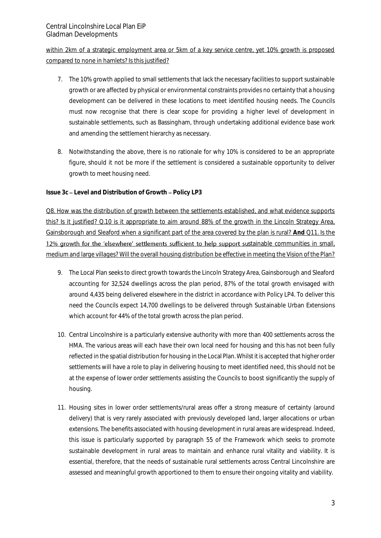within 2km of a strategic employment area or 5km of a key service centre, yet 10% growth is proposed compared to none in hamlets? Is this justified?

- 7. The 10% growth applied to small settlements that lack the necessary facilities to support sustainable growth or are affected by physical or environmental constraints provides no certainty that a housing development can be delivered in these locations to meet identified housing needs. The Councils must now recognise that there is clear scope for providing a higher level of development in sustainable settlements, such as Bassingham, through undertaking additional evidence base work and amending the settlement hierarchy as necessary.
- 8. Notwithstanding the above, there is no rationale for why 10% is considered to be an appropriate figure, should it not be more if the settlement is considered a sustainable opportunity to deliver growth to meet housing need.

Issue 3c - Level and Distribution of Growth - Policy LP3

Q8. How was the distribution of growth between the settlements established, and what evidence supports this? Is it justified? Q.10 is it appropriate to aim around 88% of the growth in the Lincoln Strategy Area, Gainsborough and Sleaford when a significant part of the area covered by the plan is rural? **And** Q11. Is the 12% growth for the 'elsewhere' settlements sufficient to help support sustainable communities in small, medium and large villages? Will the overall housing distribution be effective in meeting the Vision of the Plan?

- 9. The Local Plan seeks to direct growth towards the Lincoln Strategy Area, Gainsborough and Sleaford accounting for 32,524 dwellings across the plan period, 87% of the total growth envisaged with around 4,435 being delivered elsewhere in the district in accordance with Policy LP4. To deliver this need the Councils expect 14,700 dwellings to be delivered through Sustainable Urban Extensions which account for 44% of the total growth across the plan period.
- 10. Central Lincolnshire is a particularly extensive authority with more than 400 settlements across the HMA. The various areas will each have their own local need for housing and this has not been fully reflected in the spatial distribution for housing in the Local Plan. Whilst it is accepted that higher order settlements will have a role to play in delivering housing to meet identified need, this should not be at the expense of lower order settlements assisting the Councils to boost significantly the supply of housing.
- 11. Housing sites in lower order settlements/rural areas offer a strong measure of certainty (around delivery) that is very rarely associated with previously developed land, larger allocations or urban extensions. The benefits associated with housing development in rural areas are widespread. Indeed, this issue is particularly supported by paragraph 55 of the Framework which seeks to promote sustainable development in rural areas to maintain and enhance rural vitality and viability. It is essential, therefore, that the needs of sustainable rural settlements across Central Lincolnshire are assessed and meaningful growth apportioned to them to ensure their ongoing vitality and viability.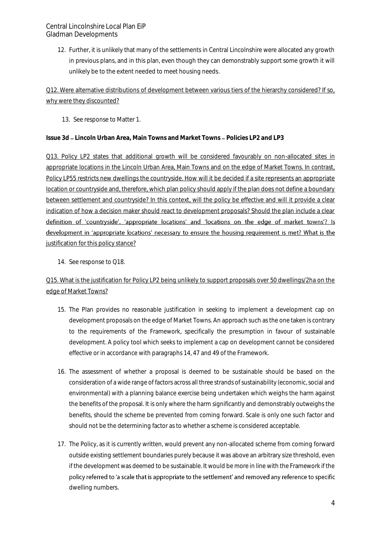12. Further, it is unlikely that many of the settlements in Central Lincolnshire were allocated any growth in previous plans, and in this plan, even though they can demonstrably support some growth it will unlikely be to the extent needed to meet housing needs.

Q12. Were alternative distributions of development between various tiers of the hierarchy considered? If so, why were they discounted?

13. See response to Matter 1.

**Issue 3d – Lincoln Urban Area, Main Towns and Market Towns – Policies LP2 and LP3** 

Q13. Policy LP2 states that additional growth will be considered favourably on non-allocated sites in appropriate locations in the Lincoln Urban Area, Main Towns and on the edge of Market Towns. In contrast, Policy LP55 restricts new dwellings the countryside. How will it be decided if a site represents an appropriate location or countryside and, therefore, which plan policy should apply if the plan does not define a boundary between settlement and countryside? In this context, will the policy be effective and will it provide a clear indication of how a decision maker should react to development proposals? Should the plan include a clear definition of 'countryside'. 'appropriate locations' and 'locations on the edge of market towns'? Is development in 'appropriate locations' necessary to ensure the housing requirement is met? What is the justification for this policy stance?

14. See response to Q18.

### Q15. What is the justification for Policy LP2 being unlikely to support proposals over 50 dwellings/2ha on the edge of Market Towns?

- 15. The Plan provides no reasonable justification in seeking to implement a development cap on development proposals on the edge of Market Towns. An approach such as the one taken is contrary to the requirements of the Framework, specifically the presumption in favour of sustainable development. A policy tool which seeks to implement a cap on development cannot be considered effective or in accordance with paragraphs 14, 47 and 49 of the Framework.
- 16. The assessment of whether a proposal is deemed to be sustainable should be based on the consideration of a wide range of factors across all three strands of sustainability (economic, social and environmental) with a planning balance exercise being undertaken which weighs the harm against the benefits of the proposal. It is only where the harm significantly and demonstrably outweighs the benefits, should the scheme be prevented from coming forward. Scale is only one such factor and should not be the determining factor as to whether a scheme is considered acceptable.
- 17. The Policy, as it is currently written, would prevent any non-allocated scheme from coming forward outside existing settlement boundaries purely because it was above an arbitrary size threshold, even if the development was deemed to be sustainable. It would be more in line with the Framework if the policy referred to 'a scale that is appropriate to the settlement' and removed any reference to specific dwelling numbers.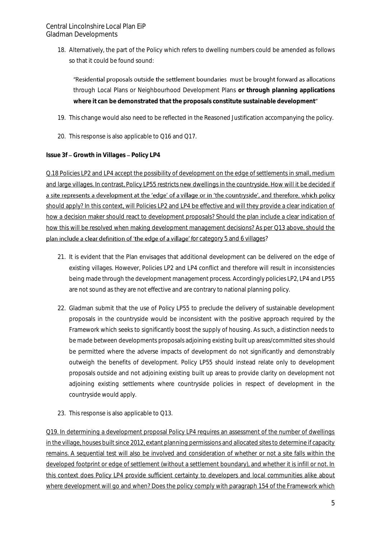18. Alternatively, the part of the Policy which refers to dwelling numbers could be amended as follows so that it could be found sound:

"Residential proposals outside the settlement boundaries must be brought forward as allocations through Local Plans or Neighbourhood Development Plans **or through planning applications where it can be demonstrated that the proposals constitute sustainable development**

- 19. This change would also need to be reflected in the Reasoned Justification accompanying the policy.
- 20. This response is also applicable to Q16 and Q17.

**Issue 3f - Growth in Villages - Policy LP4** 

Q.18 Policies LP2 and LP4 accept the possibility of development on the edge of settlements in small, medium and large villages. In contrast, Policy LP55 restricts new dwellings in the countryside. How will it be decided if a site represents a development at the 'edge' of a village or in 'the countryside', and therefore, which policy should apply? In this context, will Policies LP2 and LP4 be effective and will they provide a clear indication of how a decision maker should react to development proposals? Should the plan include a clear indication of how this will be resolved when making development management decisions? As per Q13 above, should the plan include a clear definition of 'the edge of a village' for category 5 and 6 villages?

- 21. It is evident that the Plan envisages that additional development can be delivered on the edge of existing villages. However, Policies LP2 and LP4 conflict and therefore will result in inconsistencies being made through the development management process. Accordingly policies LP2, LP4 and LP55 are not sound as they are not effective and are contrary to national planning policy.
- 22. Gladman submit that the use of Policy LP55 to preclude the delivery of sustainable development proposals in the countryside would be inconsistent with the positive approach required by the Framework which seeks to significantly boost the supply of housing. As such, a distinction needs to be made between developments proposals adjoining existing built up areas/committed sites should be permitted where the adverse impacts of development do not significantly and demonstrably outweigh the benefits of development. Policy LP55 should instead relate only to development proposals outside and not adjoining existing built up areas to provide clarity on development not adjoining existing settlements where countryside policies in respect of development in the countryside would apply.
- 23. This response is also applicable to Q13.

Q19. In determining a development proposal Policy LP4 requires an assessment of the number of dwellings in the village, houses built since 2012, extant planning permissions and allocated sites to determine if capacity remains. A sequential test will also be involved and consideration of whether or not a site falls within the developed footprint or edge of settlement (without a settlement boundary), and whether it is infill or not. In this context does Policy LP4 provide sufficient certainty to developers and local communities alike about where development will go and when? Does the policy comply with paragraph 154 of the Framework which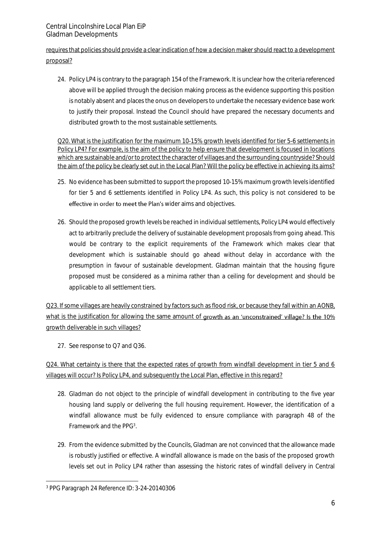requires that policies should provide a clear indication of how a decision maker should react to a development proposal?

24. Policy LP4 is contrary to the paragraph 154 of the Framework. It is unclear how the criteria referenced above will be applied through the decision making process as the evidence supporting this position is notably absent and places the onus on developers to undertake the necessary evidence base work to justify their proposal. Instead the Council should have prepared the necessary documents and distributed growth to the most sustainable settlements.

Q20. What is the justification for the maximum 10-15% growth levels identified for tier 5-6 settlements in Policy LP4? For example, is the aim of the policy to help ensure that development is focused in locations which are sustainable and/or to protect the character of villages and the surrounding countryside? Should the aim of the policy be clearly set out in the Local Plan? Will the policy be effective in achieving its aims?

- 25. No evidence has been submitted to support the proposed 10-15% maximum growth levels identified for tier 5 and 6 settlements identified in Policy LP4. As such, this policy is not considered to be effective in order to meet the Plan's wider aims and objectives.
- 26. Should the proposed growth levels be reached in individual settlements, Policy LP4 would effectively act to arbitrarily preclude the delivery of sustainable development proposals from going ahead. This would be contrary to the explicit requirements of the Framework which makes clear that development which is sustainable should go ahead without delay in accordance with the presumption in favour of sustainable development. Gladman maintain that the housing figure proposed must be considered as a minima rather than a ceiling for development and should be applicable to all settlement tiers.

Q23. If some villages are heavily constrained by factors such as flood risk, or because they fall within an AONB, what is the justification for allowing the same amount of growth as an 'unconstrained' village? Is the 10% growth deliverable in such villages?

27. See response to Q7 and Q36.

Q24. What certainty is there that the expected rates of growth from windfall development in tier 5 and 6 villages will occur? Is Policy LP4, and subsequently the Local Plan, effective in this regard?

- 28. Gladman do not object to the principle of windfall development in contributing to the five year housing land supply or delivering the full housing requirement. However, the identification of a windfall allowance must be fully evidenced to ensure compliance with paragraph 48 of the Framework and the PPG<sup>3</sup>.
- 29. From the evidence submitted by the Councils, Gladman are not convinced that the allowance made is robustly justified or effective. A windfall allowance is made on the basis of the proposed growth levels set out in Policy LP4 rather than assessing the historic rates of windfall delivery in Central

<sup>-</sup><sup>3</sup> PPG Paragraph 24 Reference ID: 3-24-20140306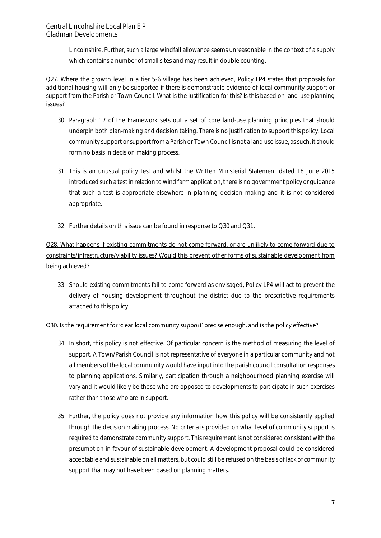Lincolnshire. Further, such a large windfall allowance seems unreasonable in the context of a supply which contains a number of small sites and may result in double counting.

Q27. Where the growth level in a tier 5-6 village has been achieved, Policy LP4 states that proposals for additional housing will only be supported if there is demonstrable evidence of local community support or support from the Parish or Town Council. What is the justification for this? Is this based on land-use planning issues?

- 30. Paragraph 17 of the Framework sets out a set of core land-use planning principles that should underpin both plan-making and decision taking. There is no justification to support this policy. Local community support or support from a Parish or Town Council is not a land use issue, as such, it should form no basis in decision making process.
- 31. This is an unusual policy test and whilst the Written Ministerial Statement dated 18 June 2015 introduced such a test in relation to wind farm application, there is no government policy or guidance that such a test is appropriate elsewhere in planning decision making and it is not considered appropriate.
- 32. Further details on this issue can be found in response to Q30 and Q31.

## Q28. What happens if existing commitments do not come forward, or are unlikely to come forward due to constraints/infrastructure/viability issues? Would this prevent other forms of sustainable development from being achieved?

33. Should existing commitments fail to come forward as envisaged, Policy LP4 will act to prevent the delivery of housing development throughout the district due to the prescriptive requirements attached to this policy.

#### Q30. Is the requirement for 'clear local community support' precise enough, and is the policy effective?

- 34. In short, this policy is not effective. Of particular concern is the method of measuring the level of support. A Town/Parish Council is not representative of everyone in a particular community and not all members of the local community would have input into the parish council consultation responses to planning applications. Similarly, participation through a neighbourhood planning exercise will vary and it would likely be those who are opposed to developments to participate in such exercises rather than those who are in support.
- 35. Further, the policy does not provide any information how this policy will be consistently applied through the decision making process. No criteria is provided on what level of community support is required to demonstrate community support. This requirement is not considered consistent with the presumption in favour of sustainable development. A development proposal could be considered acceptable and sustainable on all matters, but could still be refused on the basis of lack of community support that may not have been based on planning matters.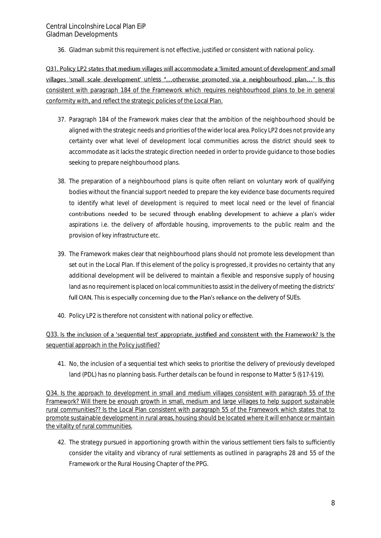36. Gladman submit this requirement is not effective, justified or consistent with national policy.

Q31. Policy LP2 states that medium villages will accommodate a 'limited amount of development' and small villages 'small scale development' unless "...otherwise promoted via a neighbourhood plan..." Is this consistent with paragraph 184 of the Framework which requires neighbourhood plans to be in general conformity with, and reflect the strategic policies of the Local Plan.

- 37. Paragraph 184 of the Framework makes clear that the ambition of the neighbourhood should be aligned with the strategic needs and priorities of the wider local area. Policy LP2 does not provide any certainty over what level of development local communities across the district should seek to accommodate as it lacks the strategic direction needed in order to provide guidance to those bodies seeking to prepare neighbourhood plans.
- 38. The preparation of a neighbourhood plans is quite often reliant on voluntary work of qualifying bodies without the financial support needed to prepare the key evidence base documents required to identify what level of development is required to meet local need or the level of financial contributions needed to be secured through enabling development to achieve a plan's wider aspirations i.e. the delivery of affordable housing, improvements to the public realm and the provision of key infrastructure etc.
- 39. The Framework makes clear that neighbourhood plans should not promote less development than set out in the Local Plan. If this element of the policy is progressed, it provides no certainty that any additional development will be delivered to maintain a flexible and responsive supply of housing land as no requirement is placed on local communities to assist in the delivery of meeting the districts' full OAN. This is especially concerning due to the Plan's reliance on the delivery of SUEs.
- 40. Policy LP2 is therefore not consistent with national policy or effective.

#### Q33. Is the inclusion of a 'sequential test' appropriate, justified and consistent with the Framework? Is the sequential approach in the Policy justified?

41. No, the inclusion of a sequential test which seeks to prioritise the delivery of previously developed land (PDL) has no planning basis. Further details can be found in response to Matter 5 (§17-§19).

Q34. Is the approach to development in small and medium villages consistent with paragraph 55 of the Framework? Will there be enough growth in small, medium and large villages to help support sustainable rural communities?? Is the Local Plan consistent with paragraph 55 of the Framework which states that to promote sustainable development in rural areas, housing should be located where it will enhance or maintain the vitality of rural communities.

42. The strategy pursued in apportioning growth within the various settlement tiers fails to sufficiently consider the vitality and vibrancy of rural settlements as outlined in paragraphs 28 and 55 of the Framework or the Rural Housing Chapter of the PPG.